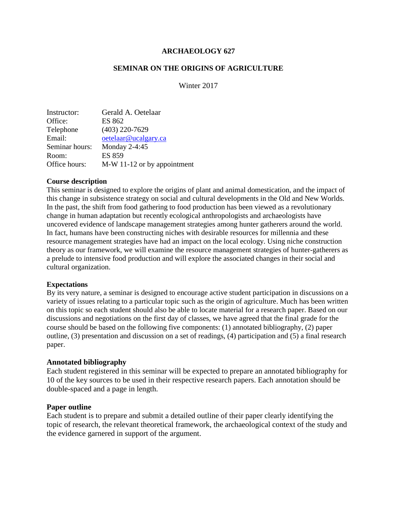### **ARCHAEOLOGY 627**

### **SEMINAR ON THE ORIGINS OF AGRICULTURE**

Winter 2017

| Instructor:    | Gerald A. Oetelaar          |
|----------------|-----------------------------|
| Office:        | ES 862                      |
| Telephone      | $(403)$ 220-7629            |
| Email:         | oetelaar@ucalgary.ca        |
| Seminar hours: | Monday 2-4:45               |
| Room:          | <b>ES 859</b>               |
| Office hours:  | M-W 11-12 or by appointment |

#### **Course description**

This seminar is designed to explore the origins of plant and animal domestication, and the impact of this change in subsistence strategy on social and cultural developments in the Old and New Worlds. In the past, the shift from food gathering to food production has been viewed as a revolutionary change in human adaptation but recently ecological anthropologists and archaeologists have uncovered evidence of landscape management strategies among hunter gatherers around the world. In fact, humans have been constructing niches with desirable resources for millennia and these resource management strategies have had an impact on the local ecology. Using niche construction theory as our framework, we will examine the resource management strategies of hunter-gatherers as a prelude to intensive food production and will explore the associated changes in their social and cultural organization.

#### **Expectations**

By its very nature, a seminar is designed to encourage active student participation in discussions on a variety of issues relating to a particular topic such as the origin of agriculture. Much has been written on this topic so each student should also be able to locate material for a research paper. Based on our discussions and negotiations on the first day of classes, we have agreed that the final grade for the course should be based on the following five components: (1) annotated bibliography, (2) paper outline, (3) presentation and discussion on a set of readings, (4) participation and (5) a final research paper.

#### **Annotated bibliography**

Each student registered in this seminar will be expected to prepare an annotated bibliography for 10 of the key sources to be used in their respective research papers. Each annotation should be double-spaced and a page in length.

#### **Paper outline**

Each student is to prepare and submit a detailed outline of their paper clearly identifying the topic of research, the relevant theoretical framework, the archaeological context of the study and the evidence garnered in support of the argument.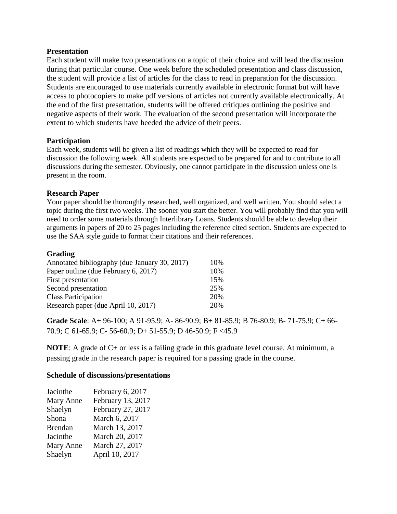### **Presentation**

Each student will make two presentations on a topic of their choice and will lead the discussion during that particular course. One week before the scheduled presentation and class discussion, the student will provide a list of articles for the class to read in preparation for the discussion. Students are encouraged to use materials currently available in electronic format but will have access to photocopiers to make pdf versions of articles not currently available electronically. At the end of the first presentation, students will be offered critiques outlining the positive and negative aspects of their work. The evaluation of the second presentation will incorporate the extent to which students have heeded the advice of their peers.

## **Participation**

Each week, students will be given a list of readings which they will be expected to read for discussion the following week. All students are expected to be prepared for and to contribute to all discussions during the semester. Obviously, one cannot participate in the discussion unless one is present in the room.

## **Research Paper**

Your paper should be thoroughly researched, well organized, and well written. You should select a topic during the first two weeks. The sooner you start the better. You will probably find that you will need to order some materials through Interlibrary Loans. Students should be able to develop their arguments in papers of 20 to 25 pages including the reference cited section. Students are expected to use the SAA style guide to format their citations and their references.

### **Grading**

| Annotated bibliography (due January 30, 2017) | 10% |
|-----------------------------------------------|-----|
| Paper outline (due February 6, 2017)          | 10% |
| First presentation                            | 15% |
| Second presentation                           | 25% |
| <b>Class Participation</b>                    | 20% |
| Research paper (due April 10, 2017)           | 20% |

**Grade Scale**: A+ 96-100; A 91-95.9; A- 86-90.9; B+ 81-85.9; B 76-80.9; B- 71-75.9; C+ 66- 70.9; C 61-65.9; C- 56-60.9; D+ 51-55.9; D 46-50.9; F <45.9

**NOTE**: A grade of C+ or less is a failing grade in this graduate level course. At minimum, a passing grade in the research paper is required for a passing grade in the course.

#### **Schedule of discussions/presentations**

| Jacinthe       | February 6, 2017  |
|----------------|-------------------|
| Mary Anne      | February 13, 2017 |
| Shaelyn        | February 27, 2017 |
| Shona          | March 6, 2017     |
| <b>Brendan</b> | March 13, 2017    |
| Jacinthe       | March 20, 2017    |
| Mary Anne      | March 27, 2017    |
| Shaelyn        | April 10, 2017    |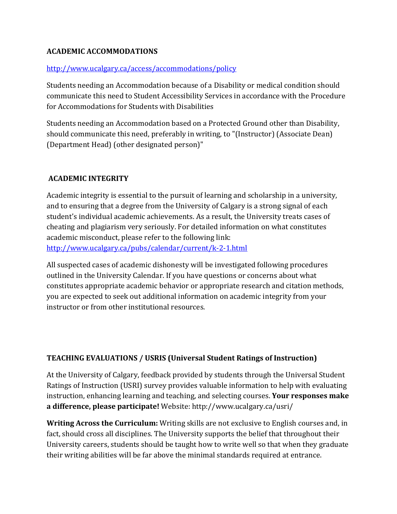# **ACADEMIC ACCOMMODATIONS**

## <http://www.ucalgary.ca/access/accommodations/policy>

Students needing an Accommodation because of a Disability or medical condition should communicate this need to Student Accessibility Services in accordance with the Procedure for Accommodations for Students with Disabilities

Students needing an Accommodation based on a Protected Ground other than Disability, should communicate this need, preferably in writing, to "(Instructor) (Associate Dean) (Department Head) (other designated person)"

# **ACADEMIC INTEGRITY**

Academic integrity is essential to the pursuit of learning and scholarship in a university, and to ensuring that a degree from the University of Calgary is a strong signal of each student's individual academic achievements. As a result, the University treats cases of cheating and plagiarism very seriously. For detailed information on what constitutes academic misconduct, please refer to the following link: <http://www.ucalgary.ca/pubs/calendar/current/k-2-1.html>

All suspected cases of academic dishonesty will be investigated following procedures outlined in the University Calendar. If you have questions or concerns about what constitutes appropriate academic behavior or appropriate research and citation methods, you are expected to seek out additional information on academic integrity from your instructor or from other institutional resources.

# **TEACHING EVALUATIONS / USRIS (Universal Student Ratings of Instruction)**

At the University of Calgary, feedback provided by students through the Universal Student Ratings of Instruction (USRI) survey provides valuable information to help with evaluating instruction, enhancing learning and teaching, and selecting courses. **Your responses make a difference, please participate!** Website: http://www.ucalgary.ca/usri/

**Writing Across the Curriculum:** Writing skills are not exclusive to English courses and, in fact, should cross all disciplines. The University supports the belief that throughout their University careers, students should be taught how to write well so that when they graduate their writing abilities will be far above the minimal standards required at entrance.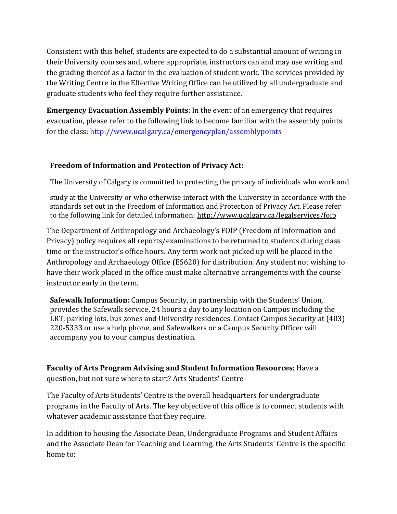Consistent with this belief, students are expected to do a substantial amount of writing in their University courses and, where appropriate, instructors can and may use writing and the grading thereof as a factor in the evaluation of student work. The services provided by the Writing Centre in the Effective Writing Office can be utilized by all undergraduate and graduate students who feel they require further assistance.

**Emergency Evacuation Assembly Points**: In the event of an emergency that requires evacuation, please refer to the following link to become familiar with the assembly points for the class:<http://www.ucalgary.ca/emergencyplan/assemblypoints>

# **Freedom of Information and Protection of Privacy Act:**

The University of Calgary is committed to protecting the privacy of individuals who work and

study at the University or who otherwise interact with the University in accordance with the standards set out in the Freedom of Information and Protection of Privacy Act. Please refer to the following link for detailed information: <http://www.ucalgary.ca/legalservices/foip>

The Department of Anthropology and Archaeology's FOIP (Freedom of Information and Privacy) policy requires all reports/examinations to be returned to students during class time or the instructor's office hours. Any term work not picked up will be placed in the Anthropology and Archaeology Office (ES620) for distribution. Any student not wishing to have their work placed in the office must make alternative arrangements with the course instructor early in the term.

**Safewalk Information:** Campus Security, in partnership with the Students' Union, provides the Safewalk service, 24 hours a day to any location on Campus including the LRT, parking lots, bus zones and University residences. Contact Campus Security at (403) 220-5333 or use a help phone, and Safewalkers or a Campus Security Officer will accompany you to your campus destination.

**Faculty of Arts Program Advising and Student Information Resources:** Have a question, but not sure where to start? Arts Students' Centre

The Faculty of Arts Students' Centre is the overall headquarters for undergraduate programs in the Faculty of Arts. The key objective of this office is to connect students with whatever academic assistance that they require.

In addition to housing the Associate Dean, Undergraduate Programs and Student Affairs and the Associate Dean for Teaching and Learning, the Arts Students' Centre is the specific home to: